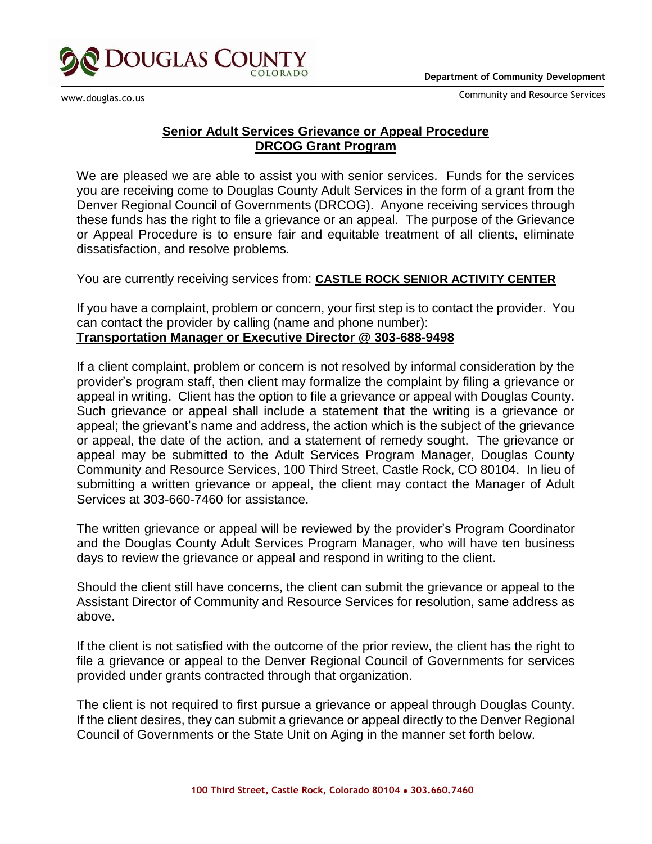



www.douglas.co.us

Community and Resource Services

## **Senior Adult Services Grievance or Appeal Procedure DRCOG Grant Program**

We are pleased we are able to assist you with senior services. Funds for the services you are receiving come to Douglas County Adult Services in the form of a grant from the Denver Regional Council of Governments (DRCOG). Anyone receiving services through these funds has the right to file a grievance or an appeal. The purpose of the Grievance or Appeal Procedure is to ensure fair and equitable treatment of all clients, eliminate dissatisfaction, and resolve problems.

You are currently receiving services from: **CASTLE ROCK SENIOR ACTIVITY CENTER**

If you have a complaint, problem or concern, your first step is to contact the provider. You can contact the provider by calling (name and phone number): **Transportation Manager or Executive Director @ 303-688-9498**

If a client complaint, problem or concern is not resolved by informal consideration by the provider's program staff, then client may formalize the complaint by filing a grievance or appeal in writing. Client has the option to file a grievance or appeal with Douglas County. Such grievance or appeal shall include a statement that the writing is a grievance or appeal; the grievant's name and address, the action which is the subject of the grievance or appeal, the date of the action, and a statement of remedy sought. The grievance or appeal may be submitted to the Adult Services Program Manager, Douglas County Community and Resource Services, 100 Third Street, Castle Rock, CO 80104. In lieu of submitting a written grievance or appeal, the client may contact the Manager of Adult Services at 303-660-7460 for assistance.

The written grievance or appeal will be reviewed by the provider's Program Coordinator and the Douglas County Adult Services Program Manager, who will have ten business days to review the grievance or appeal and respond in writing to the client.

Should the client still have concerns, the client can submit the grievance or appeal to the Assistant Director of Community and Resource Services for resolution, same address as above.

If the client is not satisfied with the outcome of the prior review, the client has the right to file a grievance or appeal to the Denver Regional Council of Governments for services provided under grants contracted through that organization.

The client is not required to first pursue a grievance or appeal through Douglas County. If the client desires, they can submit a grievance or appeal directly to the Denver Regional Council of Governments or the State Unit on Aging in the manner set forth below.